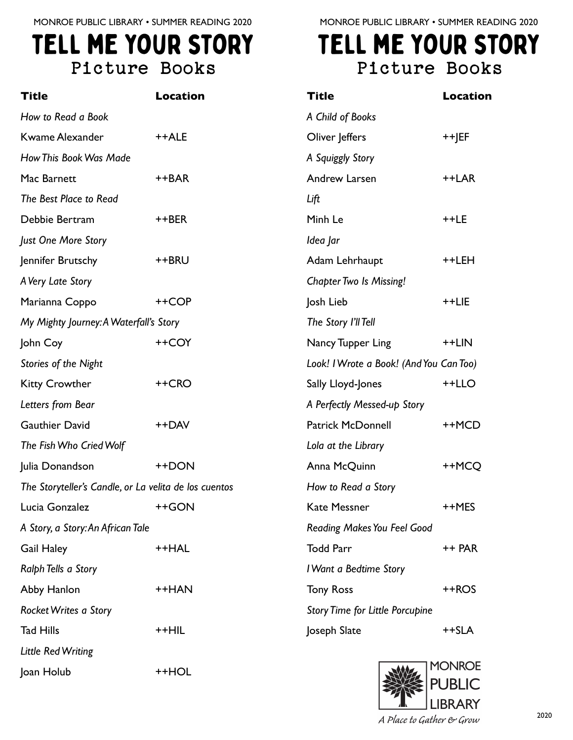## tell me your story Picture Books

| <b>Title</b>                                          | <b>Location</b> |  |
|-------------------------------------------------------|-----------------|--|
| How to Read a Book                                    |                 |  |
| <b>Kwame Alexander</b>                                | ++ALE           |  |
| How This Book Was Made                                |                 |  |
| Mac Barnett                                           | ++BAR           |  |
| The Best Place to Read                                |                 |  |
| Debbie Bertram                                        | ++BER           |  |
| Just One More Story                                   |                 |  |
| Jennifer Brutschy                                     | ++BRU           |  |
| A Very Late Story                                     |                 |  |
| Marianna Coppo                                        | ++COP           |  |
| My Mighty Journey: A Waterfall's Story                |                 |  |
| John Coy                                              | ++COY           |  |
| Stories of the Night                                  |                 |  |
| <b>Kitty Crowther</b>                                 | ++CRO           |  |
| Letters from Bear                                     |                 |  |
| <b>Gauthier David</b>                                 | ++DAV           |  |
| The Fish Who Cried Wolf                               |                 |  |
| Julia Donandson                                       | ++DON           |  |
| The Storyteller's Candle, or La velita de los cuentos |                 |  |
| Lucia Gonzalez ++GON                                  |                 |  |
| A Story, a Story: An African Tale                     |                 |  |
| <b>Gail Haley</b>                                     | ++HAL           |  |
| Ralph Tells a Story                                   |                 |  |
| Abby Hanlon                                           | ++HAN           |  |
| Rocket Writes a Story                                 |                 |  |
| <b>Tad Hills</b>                                      | ++HIL           |  |
| <b>Little Red Writing</b>                             |                 |  |
| Joan Holub                                            | ++HOL           |  |

MONROE PUBLIC LIBRARY • SUMMER READING 2020

## tell me your story Picture Books

| <b>Title</b>                            | Location |
|-----------------------------------------|----------|
| A Child of Books                        |          |
| Oliver Jeffers                          | ++JEF    |
| A Squiggly Story                        |          |
| Andrew Larsen                           | ++LAR    |
| Lift                                    |          |
| Minh Le                                 | ++LE     |
| ldea Jar                                |          |
| Adam Lehrhaupt                          | ++LEH    |
| <b>Chapter Two Is Missing!</b>          |          |
| Josh Lieb                               | ++LIE    |
| The Story I'll Tell                     |          |
| Nancy Tupper Ling                       | ++LIN    |
| Look! I Wrote a Book! (And You Can Too) |          |
| Sally Lloyd-Jones                       | ++LLO    |
| A Perfectly Messed-up Story             |          |
| <b>Patrick McDonnell</b>                | ++MCD    |
| Lola at the Library                     |          |
| Anna McQuinn                            | ++MCO    |
| How to Read a Story                     |          |
| Kate Messner                            | ++MES    |
| <b>Reading Makes You Feel Good</b>      |          |
| <b>Todd Parr</b>                        | ++ PAR   |
| I Want a Bedtime Story                  |          |
| <b>Tony Ross</b>                        | ++ROS    |
| <b>Story Time for Little Porcupine</b>  |          |
| Joseph Slate                            | ++SLA    |